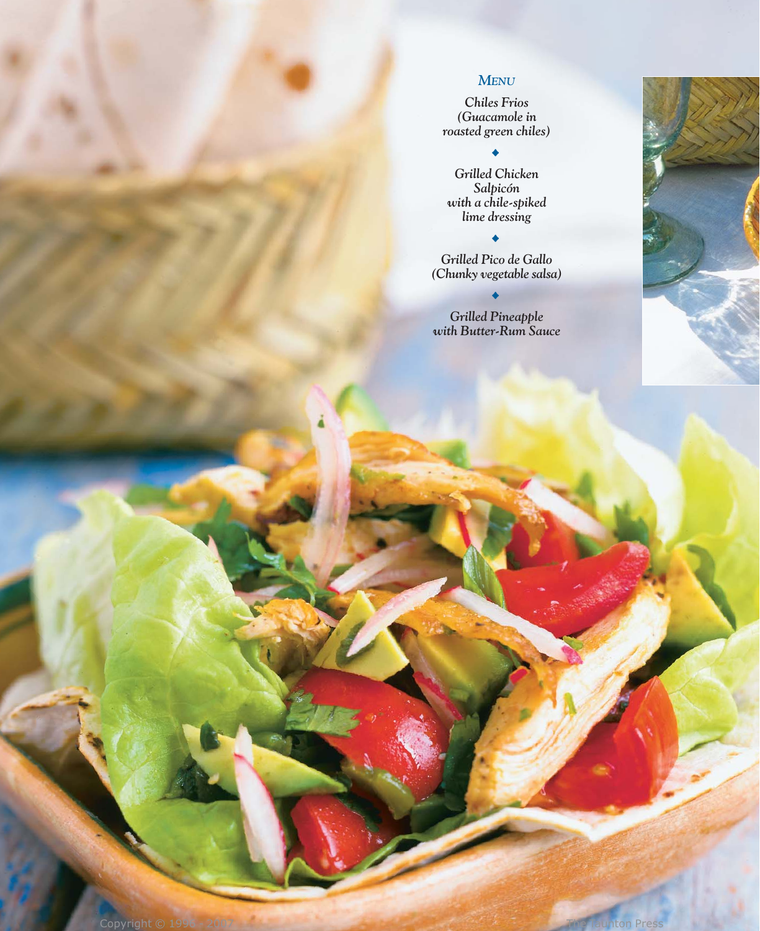### *MENU*

*Chiles Frios (Guacamole in roasted green chiles)*

## $\ddot{\bullet}$

*Grilled Chicken Salpicón with a chile-spiked lime dressing*

*Grilled Pico de Gallo (Chunky vegetable salsa)*

 $\bullet$ 

*Grilled Pineapple with Butter-Rum Sauce*

 $\blacklozenge$ 

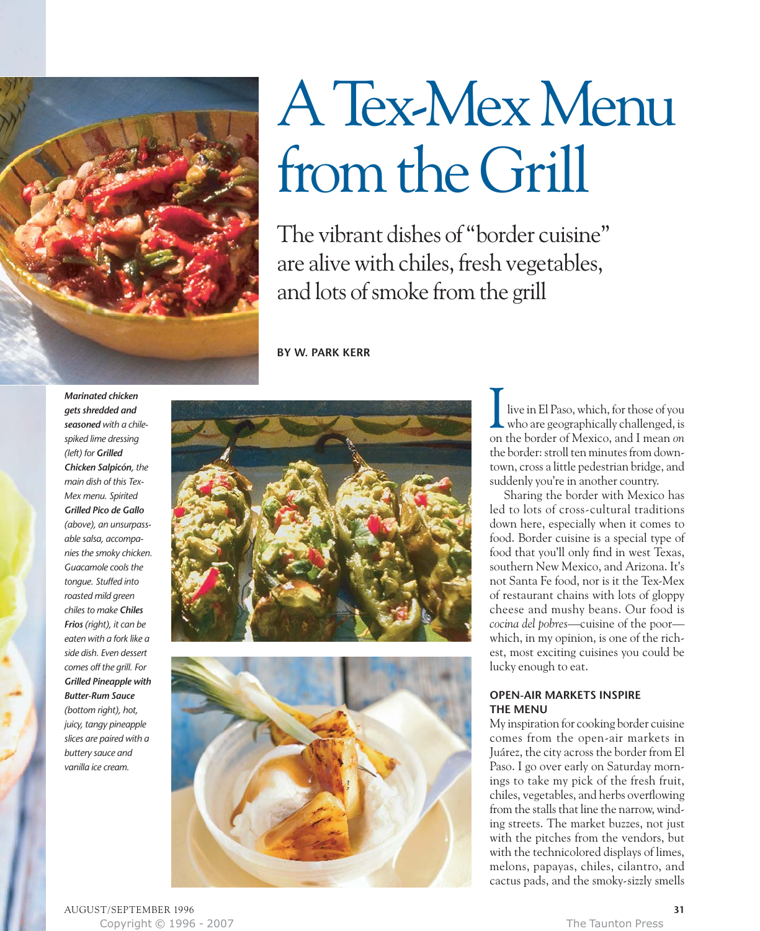

# A Tex-Mex Menu from the Grill

The vibrant dishes of "border cuisine" are alive with chiles, fresh vegetables, and lots of smoke from the grill

**BY W. PARK KERR**

*gets shredded and seasoned with a chilespiked lime dressing (left) for Grilled Chicken Salpicón, the main dish of this Tex-Mex menu. Spirited Grilled Pico de Gallo (above), an unsurpassable salsa, accompanies the smoky chicken. Guacamole cools the tongue. Stuffed into roasted mild green chiles to make Chiles Frios (right), it can be eaten with a fork like a side dish. Even dessert comes off the grill. For Grilled Pineapple with Butter-Rum Sauce (bottom right), hot, juicy, tangy pineapple slices are paired with a buttery sauce and vanilla ice cream.*





live in El Paso, which, for those of you who are geographically challenged, is on the border of Mexico, and I mean *on* the border: stroll ten minutes from downtown, cross a little pedestrian bridge, and suddenly you're in another country.

Sharing the border with Mexico has led to lots of cross-cultural traditions down here, especially when it comes to food. Border cuisine is a special type of food that you'll only find in west Texas, southern New Mexico, and Arizona. It's not Santa Fe food, nor is it the Tex-Mex of restaurant chains with lots of gloppy cheese and mushy beans. Our food is *cocina del pobres*—cuisine of the poor which, in my opinion, is one of the richest, most exciting cuisines you could be lucky enough to eat.

#### **OPEN-AIR MARKETS INSPIRE THE MENU**

My inspiration for cooking border cuisine comes from the open-air markets in Juárez, the city across the border from El Paso. I go over early on Saturday mornings to take my pick of the fresh fruit, chiles, vegetables, and herbs overflowing from the stalls that line the narrow, winding streets. The market buzzes, not just with the pitches from the vendors, but with the technicolored displays of limes, melons, papayas, chiles, cilantro, and cactus pads, and the smoky-sizzly smells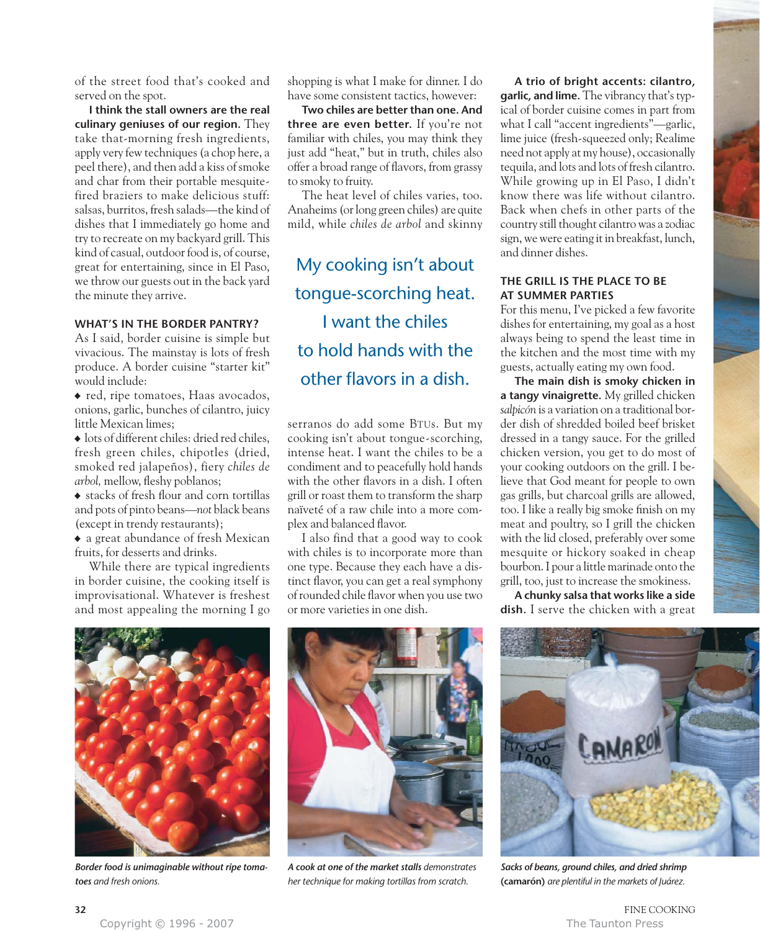of the street food that's cooked and served on the spot.

**I think the stall owners are the real culinary geniuses of our region.** They take that-morning fresh ingredients, apply very few techniques (a chop here, a peel there), and then add a kiss of smoke and char from their portable mesquitefired braziers to make delicious stuff: salsas, burritos, fresh salads—the kind of dishes that I immediately go home and try to recreate on my backyard grill. This kind of casual, outdoor food is, of course, great for entertaining, since in El Paso, we throw our guests out in the back yard the minute they arrive.

#### **WHAT'S IN THE BORDER PANTRY?**

As I said, border cuisine is simple but vivacious. The mainstay is lots of fresh produce. A border cuisine "starter kit" would include:

• red, ripe tomatoes, Haas avocados, onions, garlic, bunches of cilantro, juicy little Mexican limes;

• lots of different chiles: dried red chiles, fresh green chiles, chipotles (dried, smoked red jalapeños), fiery *chiles de arbol,* mellow, fleshy poblanos;

• stacks of fresh flour and corn tortillas and pots of pinto beans—*not* black beans (except in trendy restaurants);

• a great abundance of fresh Mexican fruits, for desserts and drinks.

While there are typical ingredients in border cuisine, the cooking itself is improvisational. Whatever is freshest and most appealing the morning I go

shopping is what I make for dinner. I do have some consistent tactics, however:

**Two chiles are better than one. And three are even better.** If you're not familiar with chiles, you may think they just add "heat," but in truth, chiles also offer a broad range of flavors, from grassy to smoky to fruity.

The heat level of chiles varies, too. Anaheims (or long green chiles) are quite mild, while *chiles de arbol* and skinny

My cooking isn't about tongue-scorching heat. I want the chiles to hold hands with the other flavors in a dish.

serranos do add some BTUs. But my cooking isn't about tongue-scorching, intense heat. I want the chiles to be a condiment and to peacefully hold hands with the other flavors in a dish. I often grill or roast them to transform the sharp naïveté of a raw chile into a more complex and balanced flavor.

I also find that a good way to cook with chiles is to incorporate more than one type. Because they each have a distinct flavor, you can get a real symphony of rounded chile flavor when you use two or more varieties in one dish.

**A trio of bright accents: cilantro, garlic, and lime.** The vibrancy that's typical of border cuisine comes in part from what I call "accent ingredients"—garlic, lime juice (fresh-squeezed only; Realime need not apply at my house), occasionally tequila, and lots and lots of fresh cilantro. While growing up in El Paso, I didn't know there was life without cilantro. Back when chefs in other parts of the country still thought cilantro was a zodiac sign, we were eating it in breakfast, lunch, and dinner dishes.

#### **THE GRILL IS THE PLACE TO BE AT SUMMER PARTIES**

For this menu, I've picked a few favorite dishes for entertaining, my goal as a host always being to spend the least time in the kitchen and the most time with my guests, actually eating my own food.

**The main dish is smoky chicken in a tangy vinaigrette.** My grilled chicken *salpicón* is a variation on a traditional border dish of shredded boiled beef brisket dressed in a tangy sauce. For the grilled chicken version, you get to do most of your cooking outdoors on the grill. I believe that God meant for people to own gas grills, but charcoal grills are allowed, too. I like a really big smoke finish on my meat and poultry, so I grill the chicken with the lid closed, preferably over some mesquite or hickory soaked in cheap bourbon. I pour a little marinade onto the grill, too, just to increase the smokiness.

**A chunky salsa that works like a side dish.** I serve the chicken with a great



*Border food is unimaginable without ripe tomatoes and fresh onions.* 



*A cook at one of the market stalls demonstrates her technique for making tortillas from scratch.*



*Sacks of beans, ground chiles, and dried shrimp* **(camarón)** *are plentiful in the markets of Juárez.*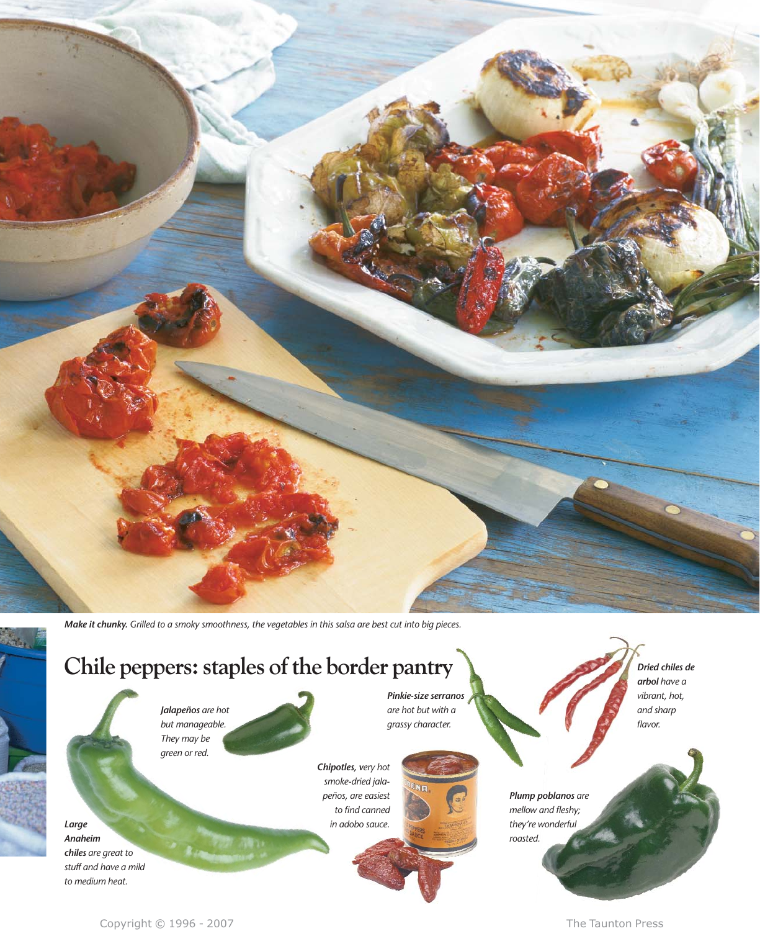*Make it chunky. Grilled to a smoky smoothness, the vegetables in this salsa are best cut into big pieces.* 

# **Chile peppers: staples of the border pantry**

*Jalapeños are hot but manageable. They may be green or red.*

*Pinkie-size serranos are hot but with a grassy character.*

*Chipotles, very hot smoke-dried jalapeños, are easiest to find canned in adobo sauce.*

*Dried chiles de arbol have a vibrant, hot, and sharp flavor.*

*Large Anaheim chiles are great to stuff and have a mild to medium heat.* 

iver.

Copyright © 1996 - 2007 **The Taunton Press** 

*Plump poblanos are mellow and fleshy; they're wonderful roasted.*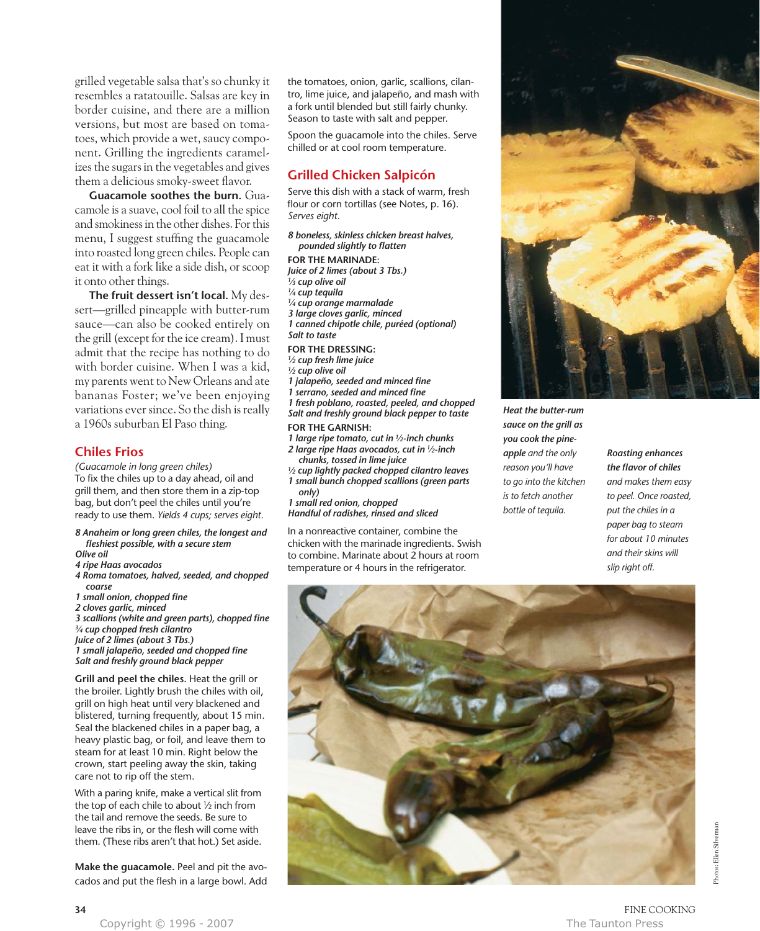grilled vegetable salsa that's so chunky it resembles a ratatouille. Salsas are key in border cuisine, and there are a million versions, but most are based on tomatoes, which provide a wet, saucy component. Grilling the ingredients caramelizes the sugars in the vegetables and gives them a delicious smoky-sweet flavor.

**Guacamole soothes the burn.** Guacamole is a suave, cool foil to all the spice and smokiness in the other dishes. For this menu, I suggest stuffing the guacamole into roasted long green chiles. People can eat it with a fork like a side dish, or scoop it onto other things.

**The fruit dessert isn't local.** My dessert—grilled pineapple with butter-rum sauce—can also be cooked entirely on the grill (except for the ice cream). I must admit that the recipe has nothing to do with border cuisine. When I was a kid, my parents went to New Orleans and ate bananas Foster; we've been enjoying variations ever since. So the dish is really a 1960s suburban El Paso thing.

#### **Chiles Frios**

*(Guacamole in long green chiles)* To fix the chiles up to a day ahead, oil and grill them, and then store them in a zip-top bag, but don't peel the chiles until you're ready to use them. *Yields 4 cups; serves eight.* 

*8 Anaheim or long green chiles, the longest and fleshiest possible, with a secure stem Olive oil* 

- *4 ripe Haas avocados*
- *4 Roma tomatoes, halved, seeded, and chopped coarse*
- *1 small onion, chopped fine*
- *2 cloves garlic, minced*

*3 scallions (white and green parts), chopped fine 3⁄4 cup chopped fresh cilantro Juice of 2 limes (about 3 Tbs.) 1 small jalapeño, seeded and chopped fine*

*Salt and freshly ground black pepper*

**Grill and peel the chiles.** Heat the grill or the broiler. Lightly brush the chiles with oil, grill on high heat until very blackened and blistered, turning frequently, about 15 min. Seal the blackened chiles in a paper bag, a heavy plastic bag, or foil, and leave them to steam for at least 10 min. Right below the crown, start peeling away the skin, taking care not to rip off the stem.

With a paring knife, make a vertical slit from the top of each chile to about  $\frac{1}{2}$  inch from the tail and remove the seeds. Be sure to leave the ribs in, or the flesh will come with them. (These ribs aren't that hot.) Set aside.

**Make the guacamole.** Peel and pit the avocados and put the flesh in a large bowl. Add the tomatoes, onion, garlic, scallions, cilantro, lime juice, and jalapeño, and mash with a fork until blended but still fairly chunky. Season to taste with salt and pepper.

Spoon the guacamole into the chiles. Serve chilled or at cool room temperature.

#### **Grilled Chicken Salpicón**

Serve this dish with a stack of warm, fresh flour or corn tortillas (see Notes, p. 16). *Serves eight.*

*8 boneless, skinless chicken breast halves, pounded slightly to flatten*

**FOR THE MARINADE:** *Juice of 2 limes (about 3 Tbs.) 1⁄3 cup olive oil 1⁄4 cup tequila 1⁄4 cup orange marmalade 3 large cloves garlic, minced 1 canned chipotle chile, puréed (optional) Salt to taste* **FOR THE DRESSING:** *1⁄2 cup fresh lime juice 1⁄2 cup olive oil 1 jalapeño, seeded and minced fine 1 serrano, seeded and minced fine 1 fresh poblano, roasted, peeled, and chopped Salt and freshly ground black pepper to taste*

**FOR THE GARNISH:** *1 large ripe tomato, cut in 1⁄2-inch chunks*

- *2 large ripe Haas avocados, cut in 1⁄2-inch chunks, tossed in lime juice*
- *1⁄2 cup lightly packed chopped cilantro leaves 1 small bunch chopped scallions (green parts only)*
- *1 small red onion, chopped*
- *Handful of radishes, rinsed and sliced*

In a nonreactive container, combine the chicken with the marinade ingredients. Swish to combine. Marinate about 2 hours at room temperature or 4 hours in the refrigerator.



*Heat the butter-rum sauce on the grill as you cook the pineapple and the only reason you'll have to go into the kitchen is to fetch another bottle of tequila.* 

#### *Roasting enhances the flavor of chiles and makes them easy to peel. Once roasted, put the chiles in a paper bag to steam for about 10 minutes and their skins will slip right off.*